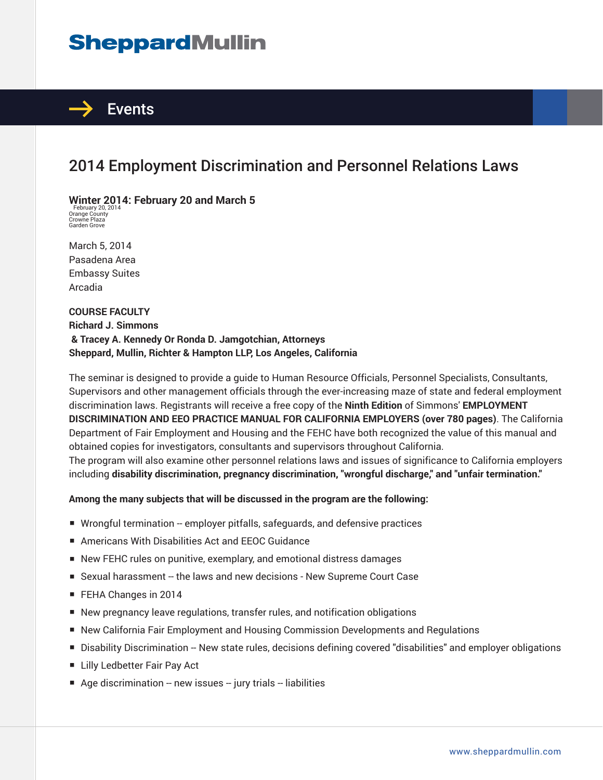# **SheppardMullin**



### 2014 Employment Discrimination and Personnel Relations Laws

**Winter 2014: February 20 and March 5** February 20, 2014 Orange County Crowne Plaza Garden Grove

March 5, 2014 Pasadena Area Embassy Suites Arcadia

**COURSE FACULTY Richard J. Simmons & Tracey A. Kennedy Or Ronda D. Jamgotchian, Attorneys Sheppard, Mullin, Richter & Hampton LLP, Los Angeles, California**

The seminar is designed to provide a guide to Human Resource Officials, Personnel Specialists, Consultants, Supervisors and other management officials through the ever-increasing maze of state and federal employment discrimination laws. Registrants will receive a free copy of the **Ninth Edition** of Simmons' **EMPLOYMENT DISCRIMINATION AND EEO PRACTICE MANUAL FOR CALIFORNIA EMPLOYERS (over 780 pages)**. The California Department of Fair Employment and Housing and the FEHC have both recognized the value of this manual and obtained copies for investigators, consultants and supervisors throughout California. The program will also examine other personnel relations laws and issues of significance to California employers including **disability discrimination, pregnancy discrimination, "wrongful discharge," and "unfair termination."**

#### **Among the many subjects that will be discussed in the program are the following:**

- Wrongful termination -- employer pitfalls, safeguards, and defensive practices
- Americans With Disabilities Act and EEOC Guidance
- New FEHC rules on punitive, exemplary, and emotional distress damages
- Sexual harassment -- the laws and new decisions New Supreme Court Case
- FEHA Changes in 2014
- New pregnancy leave regulations, transfer rules, and notification obligations
- New California Fair Employment and Housing Commission Developments and Regulations
- Disability Discrimination -- New state rules, decisions defining covered "disabilities" and employer obligations
- Lilly Ledbetter Fair Pay Act
- Age discrimination -- new issues -- jury trials -- liabilities